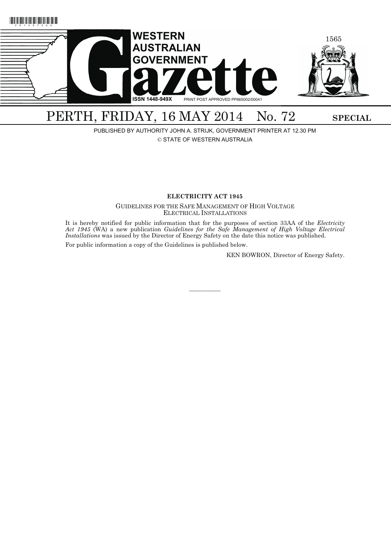

# PERTH, FRIDAY, 16 MAY 2014 No. 72 SPECIAL

PUBLISHED BY AUTHORITY JOHN A. STRIJK, GOVERNMENT PRINTER AT 12.30 PM

© STATE OF WESTERN AUSTRALIA

# **ELECTRICITY ACT 1945**

GUIDELINES FOR THE SAFE MANAGEMENT OF HIGH VOLTAGE ELECTRICAL INSTALLATIONS

It is hereby notified for public information that for the purposes of section 33AA of the *Electricity Act 1945* (WA) a new publication *Guidelines for the Safe Management of High Voltage Electrical Installations* was issued by the Director of Energy Safety on the date this notice was published.

————

For public information a copy of the Guidelines is published below.

KEN BOWRON, Director of Energy Safety.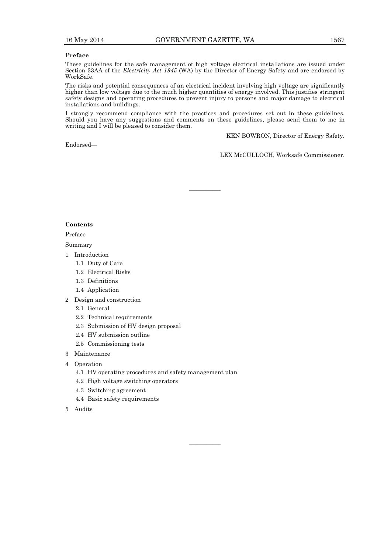## **Preface**

These guidelines for the safe management of high voltage electrical installations are issued under Section 33AA of the *Electricity Act 1945* (WA) by the Director of Energy Safety and are endorsed by WorkSafe.

The risks and potential consequences of an electrical incident involving high voltage are significantly higher than low voltage due to the much higher quantities of energy involved. This justifies stringent safety designs and operating procedures to prevent injury to persons and major damage to electrical installations and buildings.

I strongly recommend compliance with the practices and procedures set out in these guidelines. Should you have any suggestions and comments on these guidelines, please send them to me in writing and I will be pleased to consider them.

————

————

Endorsed—

KEN BOWRON, Director of Energy Safety.

LEX McCULLOCH, Worksafe Commissioner.

# **Contents**

Preface

Summary

- 1 Introduction
	- 1.1 Duty of Care
	- 1.2 Electrical Risks
	- 1.3 Definitions
	- 1.4 Application
- 2 Design and construction
	- 2.1 General
	- 2.2 Technical requirements
	- 2.3 Submission of HV design proposal
	- 2.4 HV submission outline
	- 2.5 Commissioning tests
- 3 Maintenance
- 4 Operation
	- 4.1 HV operating procedures and safety management plan
	- 4.2 High voltage switching operators
	- 4.3 Switching agreement
	- 4.4 Basic safety requirements
- 5 Audits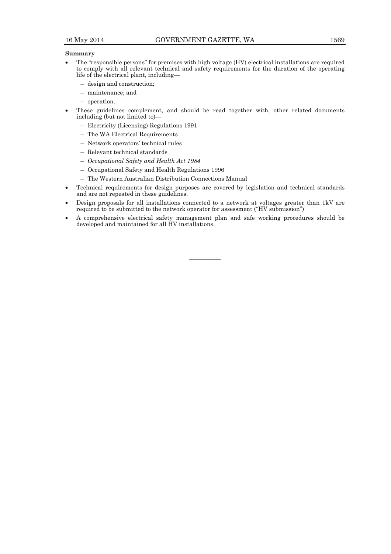# **Summary**

- The "responsible persons" for premises with high voltage (HV) electrical installations are required to comply with all relevant technical and safety requirements for the duration of the operating life of the electrical plant, including—
	- design and construction;
	- maintenance; and
	- operation.
- These guidelines complement, and should be read together with, other related documents including (but not limited to)—
	- Electricity (Licensing) Regulations 1991
	- The WA Electrical Requirements
	- Network operators' technical rules
	- Relevant technical standards
	- *Occupational Safety and Health Act 1984*
	- Occupational Safety and Health Regulations 1996
	- The Western Australian Distribution Connections Manual
- Technical requirements for design purposes are covered by legislation and technical standards and are not repeated in these guidelines.
- Design proposals for all installations connected to a network at voltages greater than 1kV are required to be submitted to the network operator for assessment ("HV submission")
- A comprehensive electrical safety management plan and safe working procedures should be developed and maintained for all HV installations.

————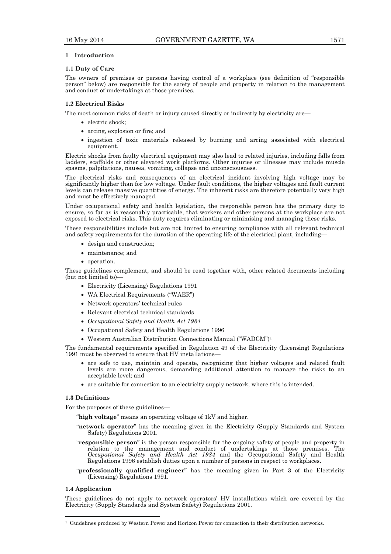#### **1 Introduction**

#### **1.1 Duty of Care**

The owners of premises or persons having control of a workplace (see definition of "responsible person" below) are responsible for the safety of people and property in relation to the management and conduct of undertakings at those premises.

### **1.2 Electrical Risks**

The most common risks of death or injury caused directly or indirectly by electricity are—

- electric shock;
- arcing, explosion or fire; and
- ingestion of toxic materials released by burning and arcing associated with electrical equipment.

Electric shocks from faulty electrical equipment may also lead to related injuries, including falls from ladders, scaffolds or other elevated work platforms. Other injuries or illnesses may include muscle spasms, palpitations, nausea, vomiting, collapse and unconsciousness.

The electrical risks and consequences of an electrical incident involving high voltage may be significantly higher than for low voltage. Under fault conditions, the higher voltages and fault current levels can release massive quantities of energy. The inherent risks are therefore potentially very high and must be effectively managed.

Under occupational safety and health legislation, the responsible person has the primary duty to ensure, so far as is reasonably practicable, that workers and other persons at the workplace are not exposed to electrical risks. This duty requires eliminating or minimising and managing these risks.

These responsibilities include but are not limited to ensuring compliance with all relevant technical and safety requirements for the duration of the operating life of the electrical plant, including-

- design and construction:
- maintenance; and
- operation.

These guidelines complement, and should be read together with, other related documents including (but not limited to)—

- Electricity (Licensing) Regulations 1991
- WA Electrical Requirements ("WAER")
- Network operators' technical rules
- Relevant electrical technical standards
- *Occupational Safety and Health Act 1984*
- Occupational Safety and Health Regulations 1996
- Western Australian Distribution Connections Manual ("WADCM")1

The fundamental requirements specified in Regulation 49 of the Electricity (Licensing) Regulations 1991 must be observed to ensure that HV installations—

- are safe to use, maintain and operate, recognizing that higher voltages and related fault levels are more dangerous, demanding additional attention to manage the risks to an acceptable level; and
- are suitable for connection to an electricity supply network, where this is intended.

# **1.3 Definitions**

For the purposes of these guidelines—

"**high voltage**" means an operating voltage of 1kV and higher.

- "**network operator**" has the meaning given in the Electricity (Supply Standards and System Safety) Regulations 2001.
- "**responsible person**" is the person responsible for the ongoing safety of people and property in relation to the management and conduct of undertakings at those premises. The *Occupational Safety and Health Act 1984* and the Occupational Safety and Health Regulations 1996 establish duties upon a number of persons in respect to workplaces.
- "**professionally qualified engineer**" has the meaning given in Part 3 of the Electricity (Licensing) Regulations 1991.

#### **1.4 Application**

These guidelines do not apply to network operators' HV installations which are covered by the Electricity (Supply Standards and System Safety) Regulations 2001.

<sup>1</sup> Guidelines produced by Western Power and Horizon Power for connection to their distribution networks.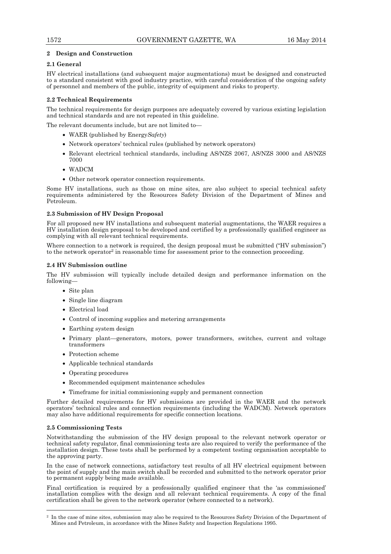# **2 Design and Construction**

# **2.1 General**

HV electrical installations (and subsequent major augmentations) must be designed and constructed to a standard consistent with good industry practice, with careful consideration of the ongoing safety of personnel and members of the public, integrity of equipment and risks to property.

# **2.2 Technical Requirements**

The technical requirements for design purposes are adequately covered by various existing legislation and technical standards and are not repeated in this guideline.

The relevant documents include, but are not limited to—

- WAER (published by Energy*Safety*)
- Network operators' technical rules (published by network operators)
- Relevant electrical technical standards, including AS/NZS 2067, AS/NZS 3000 and AS/NZS 7000
- WADCM
- Other network operator connection requirements.

Some HV installations, such as those on mine sites, are also subject to special technical safety requirements administered by the Resources Safety Division of the Department of Mines and Petroleum.

# **2.3 Submission of HV Design Proposal**

For all proposed new HV installations and subsequent material augmentations, the WAER requires a HV installation design proposal to be developed and certified by a professionally qualified engineer as complying with all relevant technical requirements.

Where connection to a network is required, the design proposal must be submitted ("HV submission") to the network operator2 in reasonable time for assessment prior to the connection proceeding.

# **2.4 HV Submission outline**

The HV submission will typically include detailed design and performance information on the following—

- Site plan
- Single line diagram
- Electrical load
- Control of incoming supplies and metering arrangements
- Earthing system design
- Primary plant—generators, motors, power transformers, switches, current and voltage transformers
- Protection scheme
- Applicable technical standards
- Operating procedures
- Recommended equipment maintenance schedules
- Timeframe for initial commissioning supply and permanent connection

Further detailed requirements for HV submissions are provided in the WAER and the network operators' technical rules and connection requirements (including the WADCM). Network operators may also have additional requirements for specific connection locations.

# **2.5 Commissioning Tests**

 $\overline{a}$ 

Notwithstanding the submission of the HV design proposal to the relevant network operator or technical safety regulator, final commissioning tests are also required to verify the performance of the installation design. These tests shall be performed by a competent testing organisation acceptable to the approving party.

In the case of network connections, satisfactory test results of all HV electrical equipment between the point of supply and the main switch shall be recorded and submitted to the network operator prior to permanent supply being made available.

Final certification is required by a professionally qualified engineer that the 'as commissioned' installation complies with the design and all relevant technical requirements. A copy of the final certification shall be given to the network operator (where connected to a network).

<sup>2</sup> In the case of mine sites, submission may also be required to the Resources Safety Division of the Department of Mines and Petroleum, in accordance with the Mines Safety and Inspection Regulations 1995.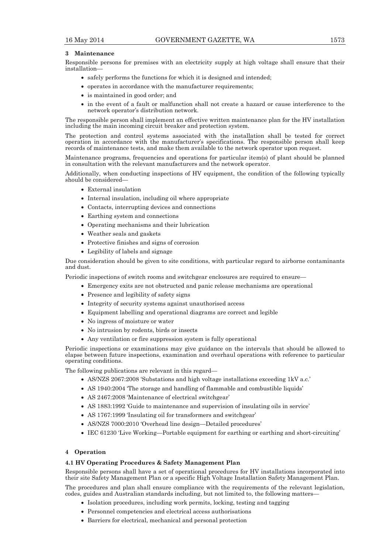### **3 Maintenance**

Responsible persons for premises with an electricity supply at high voltage shall ensure that their installation—

- safely performs the functions for which it is designed and intended;
- operates in accordance with the manufacturer requirements;
- is maintained in good order; and
- in the event of a fault or malfunction shall not create a hazard or cause interference to the network operator's distribution network.

The responsible person shall implement an effective written maintenance plan for the HV installation including the main incoming circuit breaker and protection system.

The protection and control systems associated with the installation shall be tested for correct operation in accordance with the manufacturer's specifications. The responsible person shall keep records of maintenance tests, and make them available to the network operator upon request.

Maintenance programs, frequencies and operations for particular item(s) of plant should be planned in consultation with the relevant manufacturers and the network operator.

Additionally, when conducting inspections of HV equipment, the condition of the following typically should be considered—

- External insulation
- Internal insulation, including oil where appropriate
- Contacts, interrupting devices and connections
- Earthing system and connections
- Operating mechanisms and their lubrication
- Weather seals and gaskets
- Protective finishes and signs of corrosion
- Legibility of labels and signage

Due consideration should be given to site conditions, with particular regard to airborne contaminants and dust.

Periodic inspections of switch rooms and switchgear enclosures are required to ensure—

- Emergency exits are not obstructed and panic release mechanisms are operational
- Presence and legibility of safety signs
- Integrity of security systems against unauthorised access
- Equipment labelling and operational diagrams are correct and legible
- No ingress of moisture or water
- No intrusion by rodents, birds or insects
- Any ventilation or fire suppression system is fully operational

Periodic inspections or examinations may give guidance on the intervals that should be allowed to elapse between future inspections, examination and overhaul operations with reference to particular operating conditions.

The following publications are relevant in this regard—

- AS/NZS 2067:2008 'Substations and high voltage installations exceeding 1kV a.c.'
- AS 1940:2004 'The storage and handling of flammable and combustible liquids'
- AS 2467:2008 'Maintenance of electrical switchgear'
- AS 1883:1992 'Guide to maintenance and supervision of insulating oils in service'
- AS 1767:1999 'Insulating oil for transformers and switchgear'
- AS/NZS 7000:2010 'Overhead line design—Detailed procedures'
- IEC 61230 'Live Working—Portable equipment for earthing or earthing and short-circuiting'

# **4 Operation**

#### **4.1 HV Operating Procedures & Safety Management Plan**

Responsible persons shall have a set of operational procedures for HV installations incorporated into their site Safety Management Plan or a specific High Voltage Installation Safety Management Plan.

The procedures and plan shall ensure compliance with the requirements of the relevant legislation, codes, guides and Australian standards including, but not limited to, the following matters—

- Isolation procedures, including work permits, locking, testing and tagging
- Personnel competencies and electrical access authorisations
- Barriers for electrical, mechanical and personal protection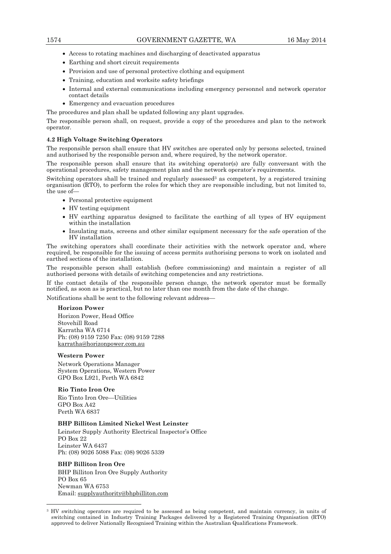- Access to rotating machines and discharging of deactivated apparatus
- Earthing and short circuit requirements
- Provision and use of personal protective clothing and equipment
- Training, education and worksite safety briefings
- Internal and external communications including emergency personnel and network operator contact details
- Emergency and evacuation procedures

The procedures and plan shall be updated following any plant upgrades.

The responsible person shall, on request, provide a copy of the procedures and plan to the network operator.

### **4.2 High Voltage Switching Operators**

The responsible person shall ensure that HV switches are operated only by persons selected, trained and authorised by the responsible person and, where required, by the network operator.

The responsible person shall ensure that its switching operator(s) are fully conversant with the operational procedures, safety management plan and the network operator's requirements.

Switching operators shall be trained and regularly assessed<sup>3</sup> as competent, by a registered training organisation (RTO), to perform the roles for which they are responsible including, but not limited to, the use of—

- Personal protective equipment
- HV testing equipment
- HV earthing apparatus designed to facilitate the earthing of all types of HV equipment within the installation
- Insulating mats, screens and other similar equipment necessary for the safe operation of the HV installation

The switching operators shall coordinate their activities with the network operator and, where required, be responsible for the issuing of access permits authorising persons to work on isolated and earthed sections of the installation.

The responsible person shall establish (before commissioning) and maintain a register of all authorised persons with details of switching competencies and any restrictions.

If the contact details of the responsible person change, the network operator must be formally notified, as soon as is practical, but no later than one month from the date of the change.

Notifications shall be sent to the following relevant address—

# **Horizon Power**

Horizon Power, Head Office Stovehill Road Karratha WA 6714 Ph: (08) 9159 7250 Fax: (08) 9159 7288 karratha@horizonpower.com.au

#### **Western Power**

Network Operations Manager System Operations, Western Power GPO Box L921, Perth WA 6842

#### **Rio Tinto Iron Ore**

Rio Tinto Iron Ore—Utilities GPO Box A42 Perth WA 6837

#### **BHP Billiton Limited Nickel West Leinster**

Leinster Supply Authority Electrical Inspector's Office PO Box 22 Leinster WA 6437 Ph: (08) 9026 5088 Fax: (08) 9026 5339

# **BHP Billiton Iron Ore**

 $\overline{a}$ 

BHP Billiton Iron Ore Supply Authority PO Box 65 Newman WA 6753 Email: supplyauthority@bhpbilliton.com

<sup>3</sup> HV switching operators are required to be assessed as being competent, and maintain currency, in units of switching contained in Industry Training Packages delivered by a Registered Training Organisation (RTO) approved to deliver Nationally Recognised Training within the Australian Qualifications Framework.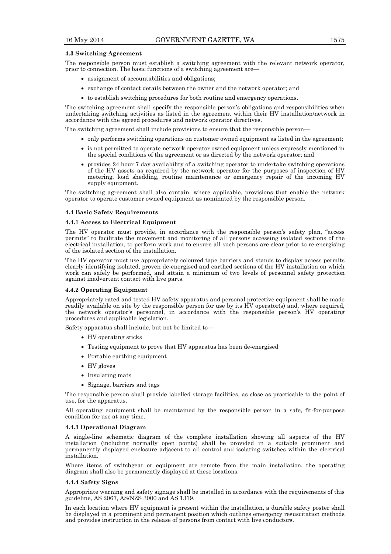#### **4.3 Switching Agreement**

The responsible person must establish a switching agreement with the relevant network operator, prior to connection. The basic functions of a switching agreement are-

- assignment of accountabilities and obligations;
- exchange of contact details between the owner and the network operator; and
- to establish switching procedures for both routine and emergency operations.

The switching agreement shall specify the responsible person's obligations and responsibilities when undertaking switching activities as listed in the agreement within their HV installation/network in accordance with the agreed procedures and network operator directives.

The switching agreement shall include provisions to ensure that the responsible person—

- only performs switching operations on customer owned equipment as listed in the agreement;
- is not permitted to operate network operator owned equipment unless expressly mentioned in the special conditions of the agreement or as directed by the network operator; and
- provides 24 hour 7 day availability of a switching operator to undertake switching operations of the HV assets as required by the network operator for the purposes of inspection of HV metering, load shedding, routine maintenance or emergency repair of the incoming HV supply equipment.

The switching agreement shall also contain, where applicable, provisions that enable the network operator to operate customer owned equipment as nominated by the responsible person.

#### **4.4 Basic Safety Requirements**

#### **4.4.1 Access to Electrical Equipment**

The HV operator must provide, in accordance with the responsible person's safety plan, "access permits" to facilitate the movement and monitoring of all persons accessing isolated sections of the electrical installation, to perform work and to ensure all such persons are clear prior to re-energising of the isolated section of the installation.

The HV operator must use appropriately coloured tape barriers and stands to display access permits clearly identifying isolated, proven de-energised and earthed sections of the HV installation on which work can safely be performed, and attain a minimum of two levels of personnel safety protection against inadvertent contact with live parts.

#### **4.4.2 Operating Equipment**

Appropriately rated and tested HV safety apparatus and personal protective equipment shall be made readily available on site by the responsible person for use by its HV operator(s) and, where required, the network operator's personnel, in accordance with the responsible person's HV operating procedures and applicable legislation.

Safety apparatus shall include, but not be limited to—

- HV operating sticks
- Testing equipment to prove that HV apparatus has been de-energised
- Portable earthing equipment
- HV gloves
- Insulating mats
- Signage, barriers and tags

The responsible person shall provide labelled storage facilities, as close as practicable to the point of use, for the apparatus.

All operating equipment shall be maintained by the responsible person in a safe, fit-for-purpose condition for use at any time.

#### **4.4.3 Operational Diagram**

A single-line schematic diagram of the complete installation showing all aspects of the HV installation (including normally open points) shall be provided in a suitable prominent and permanently displayed enclosure adjacent to all control and isolating switches within the electrical installation.

Where items of switchgear or equipment are remote from the main installation, the operating diagram shall also be permanently displayed at these locations.

#### **4.4.4 Safety Signs**

Appropriate warning and safety signage shall be installed in accordance with the requirements of this guideline, AS 2067, AS/NZS 3000 and AS 1319.

In each location where HV equipment is present within the installation, a durable safety poster shall be displayed in a prominent and permanent position which outlines emergency resuscitation methods and provides instruction in the release of persons from contact with live conductors.